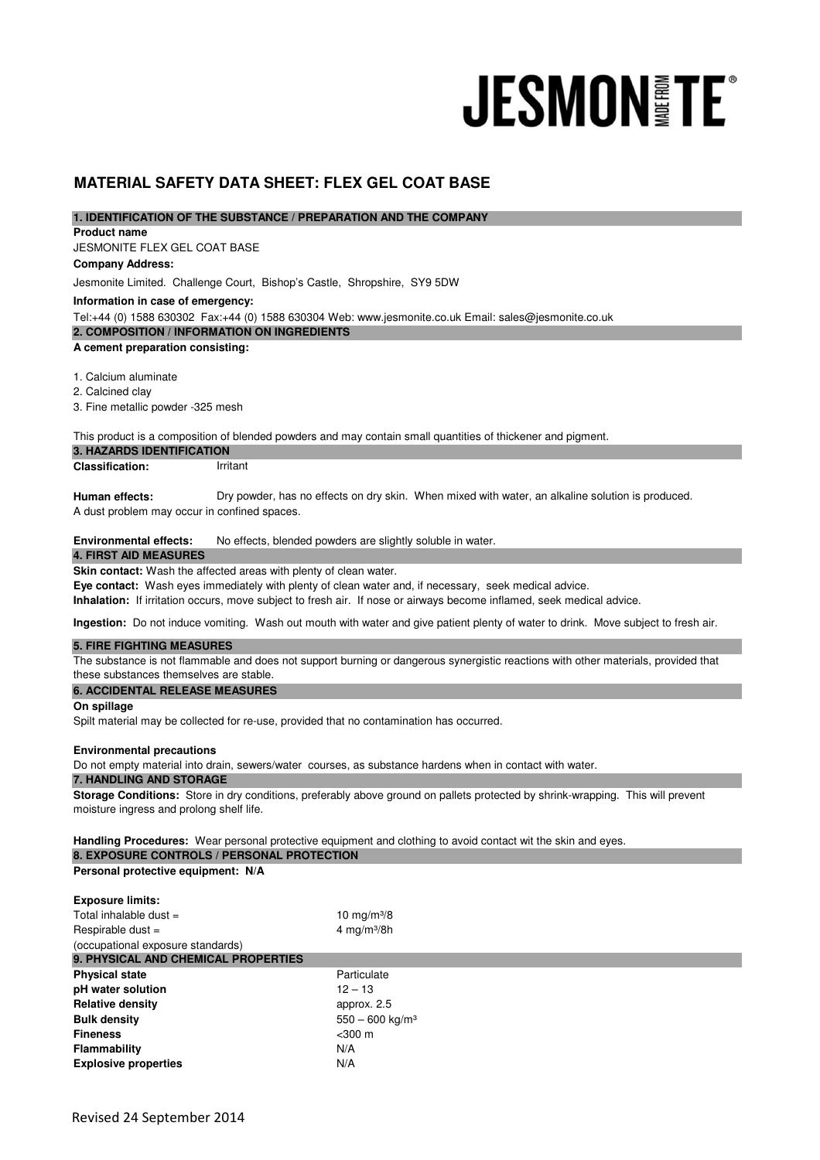# **JESMON FE**

# **MATERIAL SAFETY DATA SHEET: FLEX GEL COAT BASE**

### **1. IDENTIFICATION OF THE SUBSTANCE / PREPARATION AND THE COMPANY**

**Product name** 

JESMONITE FLEX GEL COAT BASE **Company Address:**

Jesmonite Limited. Challenge Court, Bishop's Castle, Shropshire, SY9 5DW

**Information in case of emergency:**

Tel:+44 (0) 1588 630302 Fax:+44 (0) 1588 630304 Web: www.jesmonite.co.uk Email: sales@jesmonite.co.uk

**2. COMPOSITION / INFORMATION ON INGREDIENTS** 

### **A cement preparation consisting:**

1. Calcium aluminate

2. Calcined clay

3. Fine metallic powder -325 mesh

This product is a composition of blended powders and may contain small quantities of thickener and pigment.

### **3. HAZARDS IDENTIFICATION**

| <b>Classification:</b> | Irritant |
|------------------------|----------|
|                        |          |

**Human effects:**  A dust problem may occur in confined spaces. Dry powder, has no effects on dry skin. When mixed with water, an alkaline solution is produced.

### **Environmental effects:** No effects, blended powders are slightly soluble in water.

## **4. FIRST AID MEASURES**

**Skin contact:** Wash the affected areas with plenty of clean water.

**Eye contact:** Wash eyes immediately with plenty of clean water and, if necessary, seek medical advice.

**Inhalation:** If irritation occurs, move subject to fresh air. If nose or airways become inflamed, seek medical advice.

**Ingestion:** Do not induce vomiting. Wash out mouth with water and give patient plenty of water to drink. Move subject to fresh air.

### **5. FIRE FIGHTING MEASURES**

The substance is not flammable and does not support burning or dangerous synergistic reactions with other materials, provided that these substances themselves are stable.

### **6. ACCIDENTAL RELEASE MEASURES**

**On spillage**

Spilt material may be collected for re-use, provided that no contamination has occurred.

### **Environmental precautions**

Do not empty material into drain, sewers/water courses, as substance hardens when in contact with water.

### **7. HANDLING AND STORAGE**

**Storage Conditions:** Store in dry conditions, preferably above ground on pallets protected by shrink-wrapping. This will prevent moisture ingress and prolong shelf life.

**Handling Procedures:** Wear personal protective equipment and clothing to avoid contact wit the skin and eyes. **8. EXPOSURE CONTROLS / PERSONAL PROTECTION** 

### **Personal protective equipment: N/A**

| <b>Exposure limits:</b>             |                               |  |
|-------------------------------------|-------------------------------|--|
| Total inhalable dust $=$            | 10 mg/m $3/8$                 |  |
| Respirable dust $=$                 | 4 mg/m $3/8h$                 |  |
| (occupational exposure standards)   |                               |  |
| 9. PHYSICAL AND CHEMICAL PROPERTIES |                               |  |
| <b>Physical state</b>               | Particulate                   |  |
| pH water solution                   | $12 - 13$                     |  |
| <b>Relative density</b>             | approx. 2.5                   |  |
| <b>Bulk density</b>                 | $550 - 600$ kg/m <sup>3</sup> |  |
| <b>Fineness</b>                     | $<$ 300 $m$                   |  |
| Flammability                        | N/A                           |  |
| <b>Explosive properties</b>         | N/A                           |  |